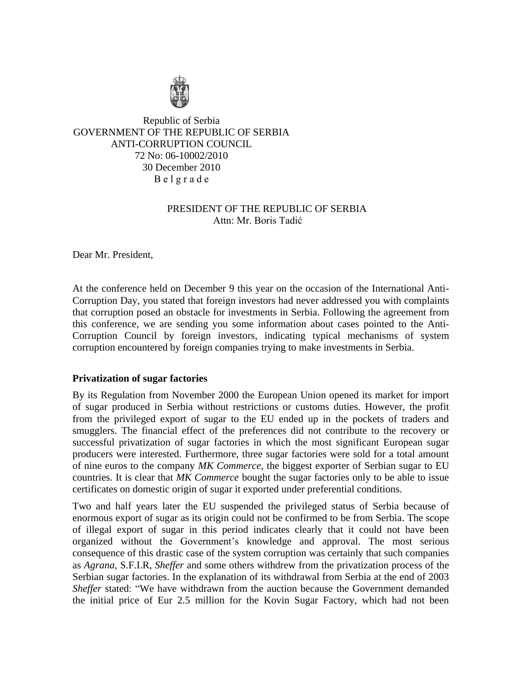

Republic of Serbia GOVERNMENT OF THE REPUBLIC OF SERBIA ANTI-CORRUPTION COUNCIL 72 No: 06-10002/2010 30 December 2010 B е l g r a d e

# PRESIDENT OF THE REPUBLIC OF SERBIA Attn: Mr. Boris Tadić

Dear Mr. President,

At the conference held on December 9 this year on the occasion of the International Anti-Corruption Day, you stated that foreign investors had never addressed you with complaints that corruption posed an obstacle for investments in Serbia. Following the agreement from this conference, we are sending you some information about cases pointed to the Anti-Corruption Council by foreign investors, indicating typical mechanisms of system corruption encountered by foreign companies trying to make investments in Serbia.

## **Privatization of sugar factories**

By its Regulation from November 2000 the European Union opened its market for import of sugar produced in Serbia without restrictions or customs duties. However, the profit from the privileged export of sugar to the EU ended up in the pockets of traders and smugglers. The financial effect of the preferences did not contribute to the recovery or successful privatization of sugar factories in which the most significant European sugar producers were interested. Furthermore, three sugar factories were sold for a total amount of nine euros to the company *MK Commerce*, the biggest exporter of Serbian sugar to EU countries. It is clear that *MK Commerce* bought the sugar factories only to be able to issue certificates on domestic origin of sugar it exported under preferential conditions.

Two and half years later the EU suspended the privileged status of Serbia because of enormous export of sugar as its origin could not be confirmed to be from Serbia. The scope of illegal export of sugar in this period indicates clearly that it could not have been organized without the Government's knowledge and approval. The most serious consequence of this drastic case of the system corruption was certainly that such companies as *Agrana*, S.F.I.R, *Sheffer* and some others withdrew from the privatization process of the Serbian sugar factories. In the explanation of its withdrawal from Serbia at the end of 2003 *Sheffer* stated: "We have withdrawn from the auction because the Government demanded the initial price of Eur 2.5 million for the Kovin Sugar Factory, which had not been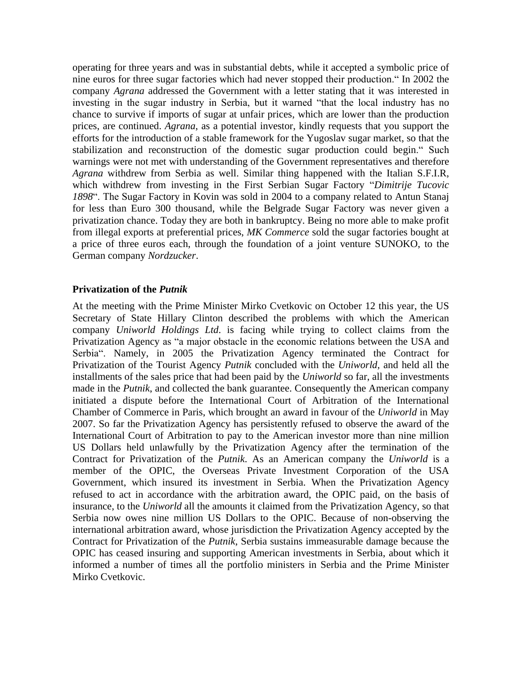operating for three years and was in substantial debts, while it accepted a symbolic price of nine euros for three sugar factories which had never stopped their production." In 2002 the company *Agrana* addressed the Government with a letter stating that it was interested in investing in the sugar industry in Serbia, but it warned "that the local industry has no chance to survive if imports of sugar at unfair prices, which are lower than the production prices, are continued. *Agrana*, as a potential investor, kindly requests that you support the efforts for the introduction of a stable framework for the Yugoslav sugar market, so that the stabilization and reconstruction of the domestic sugar production could begin." Such warnings were not met with understanding of the Government representatives and therefore *Agrana* withdrew from Serbia as well. Similar thing happened with the Italian S.F.I.R, which withdrew from investing in the First Serbian Sugar Factory "*Dimitrije Tucovic 1898*". The Sugar Factory in Kovin was sold in 2004 to a company related to Antun Stanaj for less than Euro 300 thousand, while the Belgrade Sugar Factory was never given a privatization chance. Today they are both in bankruptcy. Being no more able to make profit from illegal exports at preferential prices, *MK Commerce* sold the sugar factories bought at a price of three euros each, through the foundation of a joint venture SUNOKO, to the German company *Nordzucker*.

## **Privatization of the** *Putnik*

At the meeting with the Prime Minister Mirko Cvetkovic on October 12 this year, the US Secretary of State Hillary Clinton described the problems with which the American company *Uniworld Holdings Ltd*. is facing while trying to collect claims from the Privatization Agency as "a major obstacle in the economic relations between the USA and Serbia". Namely, in 2005 the Privatization Agency terminated the Contract for Privatization of the Tourist Agency *Putnik* concluded with the *Uniworld*, and held all the installments of the sales price that had been paid by the *Uniworld* so far, all the investments made in the *Putnik*, and collected the bank guarantee. Consequently the American company initiated a dispute before the International Court of Arbitration of the International Chamber of Commerce in Paris, which brought an award in favour of the *Uniworld* in May 2007. So far the Privatization Agency has persistently refused to observe the award of the International Court of Arbitration to pay to the American investor more than nine million US Dollars held unlawfully by the Privatization Agency after the termination of the Contract for Privatization of the *Putnik*. As an American company the *Uniworld* is a member of the OPIC, the Overseas Private Investment Corporation of the USA Government, which insured its investment in Serbia. When the Privatization Agency refused to act in accordance with the arbitration award, the OPIC paid, on the basis of insurance, to the *Uniworld* all the amounts it claimed from the Privatization Agency, so that Serbia now owes nine million US Dollars to the OPIC. Because of non-observing the international arbitration award, whose jurisdiction the Privatization Agency accepted by the Contract for Privatization of the *Putnik*, Serbia sustains immeasurable damage because the OPIC has ceased insuring and supporting American investments in Serbia, about which it informed a number of times all the portfolio ministers in Serbia and the Prime Minister Mirko Cvetkovic.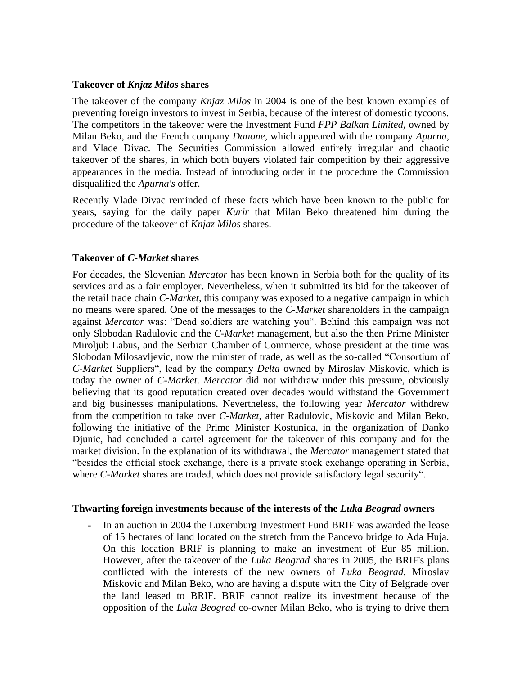## **Takeover of** *Knjaz Milos* **shares**

The takeover of the company *Knjaz Milos* in 2004 is one of the best known examples of preventing foreign investors to invest in Serbia, because of the interest of domestic tycoons. The competitors in the takeover were the Investment Fund *FPP Balkan Limited,* owned by Milan Beko, and the French company *Danone*, which appeared with the company *Apurna*, and Vlade Divac. The Securities Commission allowed entirely irregular and chaotic takeover of the shares, in which both buyers violated fair competition by their aggressive appearances in the media. Instead of introducing order in the procedure the Commission disqualified the *Apurna's* offer.

Recently Vlade Divac reminded of these facts which have been known to the public for years, saying for the daily paper *Kurir* that Milan Beko threatened him during the procedure of the takeover of *Knjaz Milos* shares.

## **Takeover of** *C-Market* **shares**

For decades, the Slovenian *Mercator* has been known in Serbia both for the quality of its services and as a fair employer. Nevertheless, when it submitted its bid for the takeover of the retail trade chain *C-Market*, this company was exposed to a negative campaign in which no means were spared. One of the messages to the *C-Market* shareholders in the campaign against *Mercator* was: "Dead soldiers are watching you". Behind this campaign was not only Slobodan Radulovic and the *C-Market* management, but also the then Prime Minister Miroljub Labus, and the Serbian Chamber of Commerce, whose president at the time was Slobodan Milosavljevic, now the minister of trade, as well as the so-called "Consortium of *C-Market* Suppliers", lead by the company *Delta* owned by Miroslav Miskovic, which is today the owner of *C-Market*. *Mercator* did not withdraw under this pressure, obviously believing that its good reputation created over decades would withstand the Government and big businesses manipulations. Nevertheless, the following year *Mercator* withdrew from the competition to take over *C-Market*, after Radulovic, Miskovic and Milan Beko, following the initiative of the Prime Minister Kostunica, in the organization of Danko Djunic, had concluded a cartel agreement for the takeover of this company and for the market division. In the explanation of its withdrawal, the *Mercator* management stated that "besides the official stock exchange, there is a private stock exchange operating in Serbia, where *C-Market* shares are traded, which does not provide satisfactory legal security".

#### **Thwarting foreign investments because of the interests of the** *Luka Beograd* **owners**

In an auction in 2004 the Luxemburg Investment Fund BRIF was awarded the lease of 15 hectares of land located on the stretch from the Pancevo bridge to Ada Huja. On this location BRIF is planning to make an investment of Eur 85 million. However, after the takeover of the *Luka Beograd* shares in 2005, the BRIF's plans conflicted with the interests of the new owners of *Luka Beograd*, Miroslav Miskovic and Milan Beko, who are having a dispute with the City of Belgrade over the land leased to BRIF. BRIF cannot realize its investment because of the opposition of the *Luka Beograd* co-owner Milan Beko, who is trying to drive them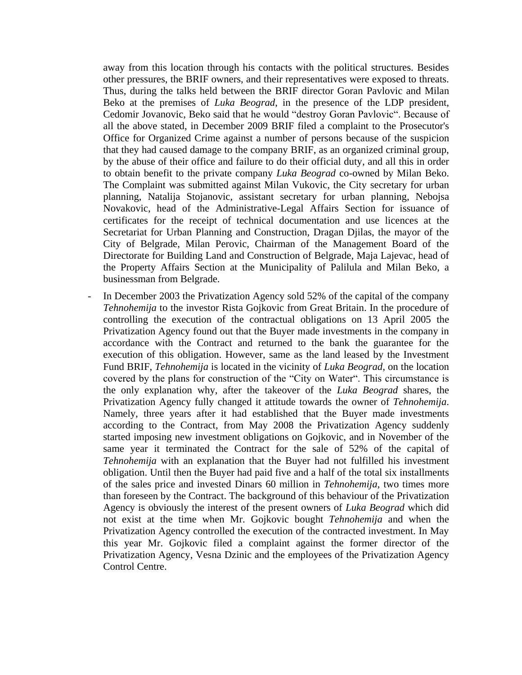away from this location through his contacts with the political structures. Besides other pressures, the BRIF owners, and their representatives were exposed to threats. Thus, during the talks held between the BRIF director Goran Pavlovic and Milan Beko at the premises of *Luka Beograd*, in the presence of the LDP president, Cedomir Jovanovic, Beko said that he would "destroy Goran Pavlovic". Because of all the above stated, in December 2009 BRIF filed a complaint to the Prosecutor's Office for Organized Crime against a number of persons because of the suspicion that they had caused damage to the company BRIF, as an organized criminal group, by the abuse of their office and failure to do their official duty, and all this in order to obtain benefit to the private company *Luka Beograd* co-owned by Milan Beko. The Complaint was submitted against Milan Vukovic, the City secretary for urban planning, Natalija Stojanovic, assistant secretary for urban planning, Nebojsa Novakovic, head of the Administrative-Legal Affairs Section for issuance of certificates for the receipt of technical documentation and use licences at the Secretariat for Urban Planning and Construction, Dragan Djilas, the mayor of the City of Belgrade, Milan Perovic, Chairman of the Management Board of the Directorate for Building Land and Construction of Belgrade, Maja Lajevac, head of the Property Affairs Section at the Municipality of Palilula and Milan Beko, a businessman from Belgrade.

In December 2003 the Privatization Agency sold 52% of the capital of the company *Tehnohemija* to the investor Rista Gojkovic from Great Britain. In the procedure of controlling the execution of the contractual obligations on 13 April 2005 the Privatization Agency found out that the Buyer made investments in the company in accordance with the Contract and returned to the bank the guarantee for the execution of this obligation. However, same as the land leased by the Investment Fund BRIF, *Tehnohemija* is located in the vicinity of *Luka Beograd*, on the location covered by the plans for construction of the "City on Water". This circumstance is the only explanation why, after the takeover of the *Luka Beograd* shares, the Privatization Agency fully changed it attitude towards the owner of *Tehnohemija*. Namely, three years after it had established that the Buyer made investments according to the Contract, from May 2008 the Privatization Agency suddenly started imposing new investment obligations on Gojkovic, and in November of the same year it terminated the Contract for the sale of 52% of the capital of *Tehnohemija* with an explanation that the Buyer had not fulfilled his investment obligation. Until then the Buyer had paid five and a half of the total six installments of the sales price and invested Dinars 60 million in *Tehnohemija*, two times more than foreseen by the Contract. The background of this behaviour of the Privatization Agency is obviously the interest of the present owners of *Luka Beograd* which did not exist at the time when Mr. Gojkovic bought *Tehnohemija* and when the Privatization Agency controlled the execution of the contracted investment. In May this year Mr. Gojkovic filed a complaint against the former director of the Privatization Agency, Vesna Dzinic and the employees of the Privatization Agency Control Centre.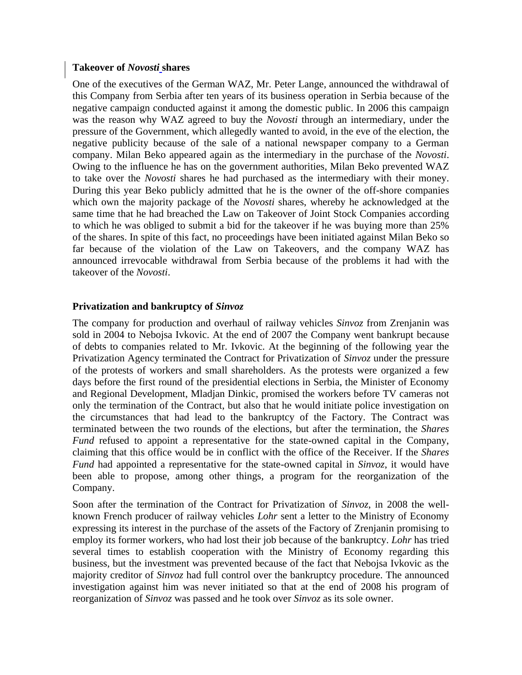#### **Takeover of** *Novosti* **shares**

One of the executives of the German WAZ, Mr. Peter Lange, announced the withdrawal of this Company from Serbia after ten years of its business operation in Serbia because of the negative campaign conducted against it among the domestic public. In 2006 this campaign was the reason why WAZ agreed to buy the *Novosti* through an intermediary, under the pressure of the Government, which allegedly wanted to avoid, in the eve of the election, the negative publicity because of the sale of a national newspaper company to a German company. Milan Beko appeared again as the intermediary in the purchase of the *Novosti*. Owing to the influence he has on the government authorities, Milan Beko prevented WAZ to take over the *Novosti* shares he had purchased as the intermediary with their money. During this year Beko publicly admitted that he is the owner of the off-shore companies which own the majority package of the *Novosti* shares, whereby he acknowledged at the same time that he had breached the Law on Takeover of Joint Stock Companies according to which he was obliged to submit a bid for the takeover if he was buying more than 25% of the shares. In spite of this fact, no proceedings have been initiated against Milan Beko so far because of the violation of the Law on Takeovers, and the company WAZ has announced irrevocable withdrawal from Serbia because of the problems it had with the takeover of the *Novosti*.

## **Privatization and bankruptcy of** *Sinvoz*

The company for production and overhaul of railway vehicles *Sinvoz* from Zrenjanin was sold in 2004 to Nebojsa Ivkovic. At the end of 2007 the Company went bankrupt because of debts to companies related to Mr. Ivkovic. At the beginning of the following year the Privatization Agency terminated the Contract for Privatization of *Sinvoz* under the pressure of the protests of workers and small shareholders. As the protests were organized a few days before the first round of the presidential elections in Serbia, the Minister of Economy and Regional Development, Mladjan Dinkic, promised the workers before TV cameras not only the termination of the Contract, but also that he would initiate police investigation on the circumstances that had lead to the bankruptcy of the Factory. The Contract was terminated between the two rounds of the elections, but after the termination, the *Shares Fund* refused to appoint a representative for the state-owned capital in the Company, claiming that this office would be in conflict with the office of the Receiver. If the *Shares Fund* had appointed a representative for the state-owned capital in *Sinvoz*, it would have been able to propose, among other things, a program for the reorganization of the Company.

Soon after the termination of the Contract for Privatization of *Sinvoz*, in 2008 the wellknown French producer of railway vehicles *Lohr* sent a letter to the Ministry of Economy expressing its interest in the purchase of the assets of the Factory of Zrenjanin promising to employ its former workers, who had lost their job because of the bankruptcy. *Lohr* has tried several times to establish cooperation with the Ministry of Economy regarding this business, but the investment was prevented because of the fact that Nebojsa Ivkovic as the majority creditor of *Sinvoz* had full control over the bankruptcy procedure. The announced investigation against him was never initiated so that at the end of 2008 his program of reorganization of *Sinvoz* was passed and he took over *Sinvoz* as its sole owner.